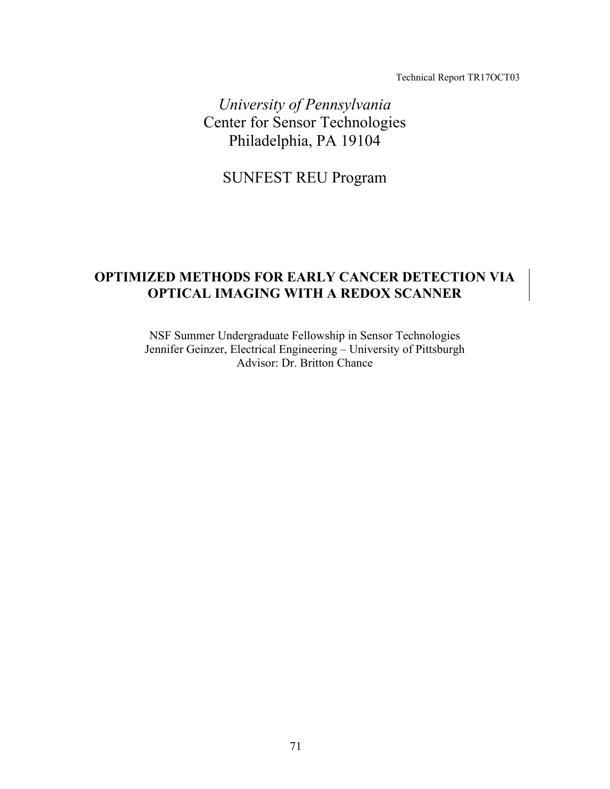Technical Report TR17OCT03

*University of Pennsylvania*  Center for Sensor Technologies Philadelphia, PA 19104

SUNFEST REU Program

# **OPTIMIZED METHODS FOR EARLY CANCER DETECTION VIA OPTICAL IMAGING WITH A REDOX SCANNER**

NSF Summer Undergraduate Fellowship in Sensor Technologies Jennifer Geinzer, Electrical Engineering – University of Pittsburgh Advisor: Dr. Britton Chance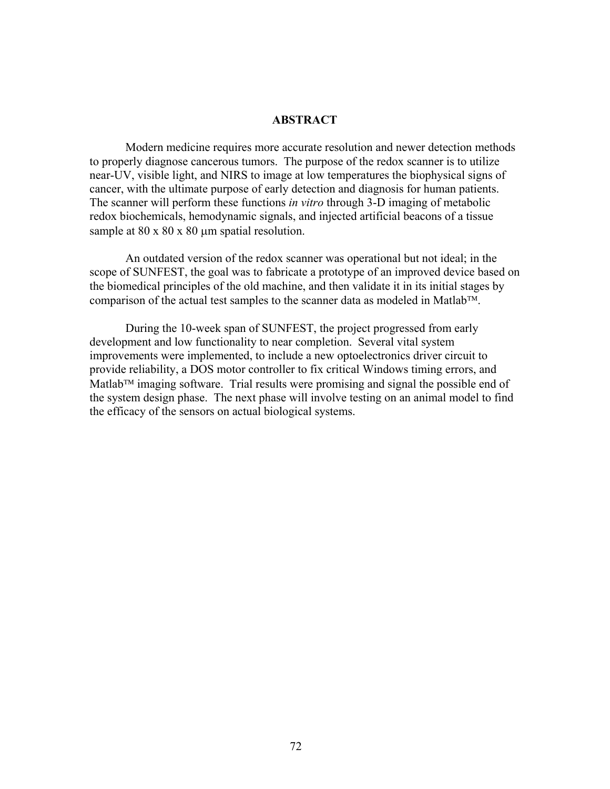# **ABSTRACT**

Modern medicine requires more accurate resolution and newer detection methods to properly diagnose cancerous tumors. The purpose of the redox scanner is to utilize near-UV, visible light, and NIRS to image at low temperatures the biophysical signs of cancer, with the ultimate purpose of early detection and diagnosis for human patients. The scanner will perform these functions *in vitro* through 3-D imaging of metabolic redox biochemicals, hemodynamic signals, and injected artificial beacons of a tissue sample at  $80 \times 80 \times 80$  µm spatial resolution.

An outdated version of the redox scanner was operational but not ideal; in the scope of SUNFEST, the goal was to fabricate a prototype of an improved device based on the biomedical principles of the old machine, and then validate it in its initial stages by comparison of the actual test samples to the scanner data as modeled in Matlab<sup>TM</sup>.

During the 10-week span of SUNFEST, the project progressed from early development and low functionality to near completion. Several vital system improvements were implemented, to include a new optoelectronics driver circuit to provide reliability, a DOS motor controller to fix critical Windows timing errors, and Matlab<sup> $TM$ </sup> imaging software. Trial results were promising and signal the possible end of the system design phase. The next phase will involve testing on an animal model to find the efficacy of the sensors on actual biological systems.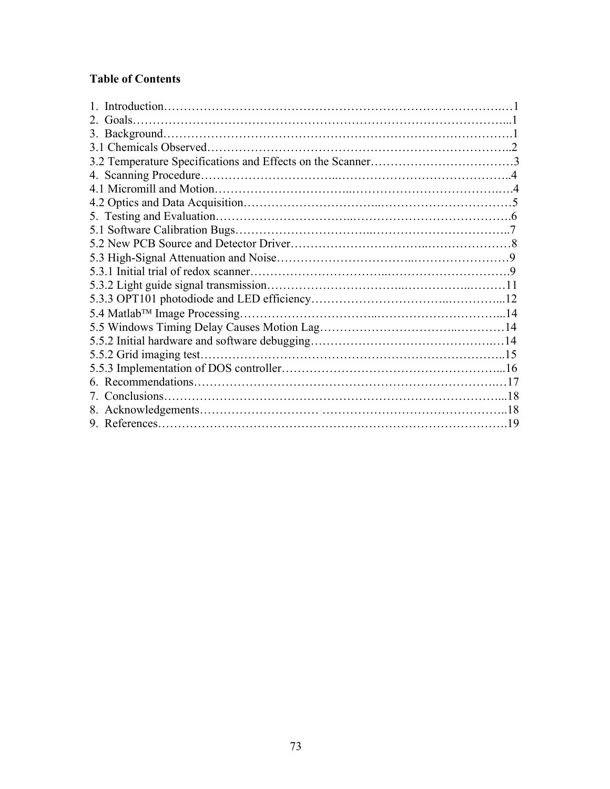# **Table of Contents**

| 2. Goals.               |  |  |  |
|-------------------------|--|--|--|
|                         |  |  |  |
|                         |  |  |  |
|                         |  |  |  |
|                         |  |  |  |
|                         |  |  |  |
|                         |  |  |  |
|                         |  |  |  |
|                         |  |  |  |
|                         |  |  |  |
|                         |  |  |  |
|                         |  |  |  |
|                         |  |  |  |
|                         |  |  |  |
|                         |  |  |  |
|                         |  |  |  |
|                         |  |  |  |
| 5.5.2 Grid imaging test |  |  |  |
|                         |  |  |  |
|                         |  |  |  |
|                         |  |  |  |
|                         |  |  |  |
|                         |  |  |  |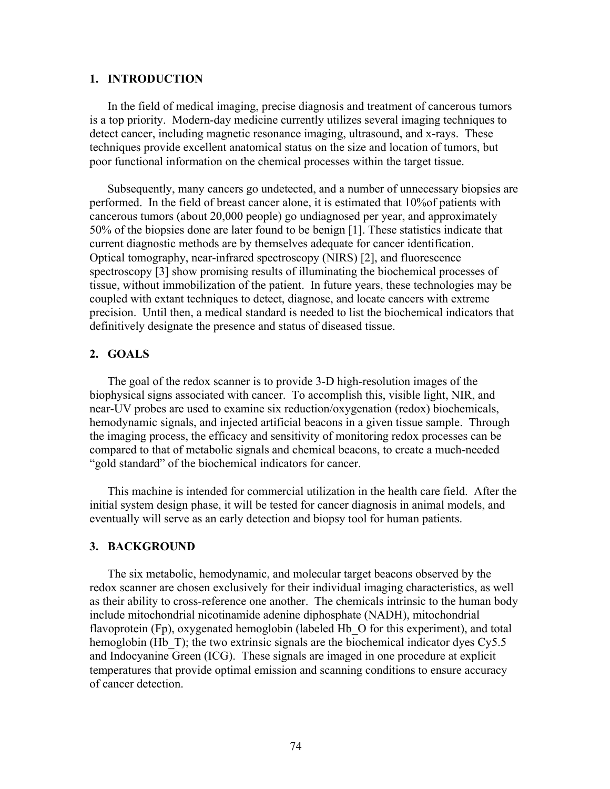# **1. INTRODUCTION**

In the field of medical imaging, precise diagnosis and treatment of cancerous tumors is a top priority. Modern-day medicine currently utilizes several imaging techniques to detect cancer, including magnetic resonance imaging, ultrasound, and x-rays. These techniques provide excellent anatomical status on the size and location of tumors, but poor functional information on the chemical processes within the target tissue.

Subsequently, many cancers go undetected, and a number of unnecessary biopsies are performed. In the field of breast cancer alone, it is estimated that 10%of patients with cancerous tumors (about 20,000 people) go undiagnosed per year, and approximately 50% of the biopsies done are later found to be benign [1]. These statistics indicate that current diagnostic methods are by themselves adequate for cancer identification. Optical tomography, near-infrared spectroscopy (NIRS) [2], and fluorescence spectroscopy [3] show promising results of illuminating the biochemical processes of tissue, without immobilization of the patient. In future years, these technologies may be coupled with extant techniques to detect, diagnose, and locate cancers with extreme precision. Until then, a medical standard is needed to list the biochemical indicators that definitively designate the presence and status of diseased tissue.

# **2. GOALS**

The goal of the redox scanner is to provide 3-D high-resolution images of the biophysical signs associated with cancer. To accomplish this, visible light, NIR, and near-UV probes are used to examine six reduction/oxygenation (redox) biochemicals, hemodynamic signals, and injected artificial beacons in a given tissue sample. Through the imaging process, the efficacy and sensitivity of monitoring redox processes can be compared to that of metabolic signals and chemical beacons, to create a much-needed "gold standard" of the biochemical indicators for cancer.

This machine is intended for commercial utilization in the health care field. After the initial system design phase, it will be tested for cancer diagnosis in animal models, and eventually will serve as an early detection and biopsy tool for human patients.

## **3. BACKGROUND**

The six metabolic, hemodynamic, and molecular target beacons observed by the redox scanner are chosen exclusively for their individual imaging characteristics, as well as their ability to cross-reference one another. The chemicals intrinsic to the human body include mitochondrial nicotinamide adenine diphosphate (NADH), mitochondrial flavoprotein (Fp), oxygenated hemoglobin (labeled Hb O for this experiment), and total hemoglobin (Hb T); the two extrinsic signals are the biochemical indicator dyes Cy5.5 and Indocyanine Green (ICG). These signals are imaged in one procedure at explicit temperatures that provide optimal emission and scanning conditions to ensure accuracy of cancer detection.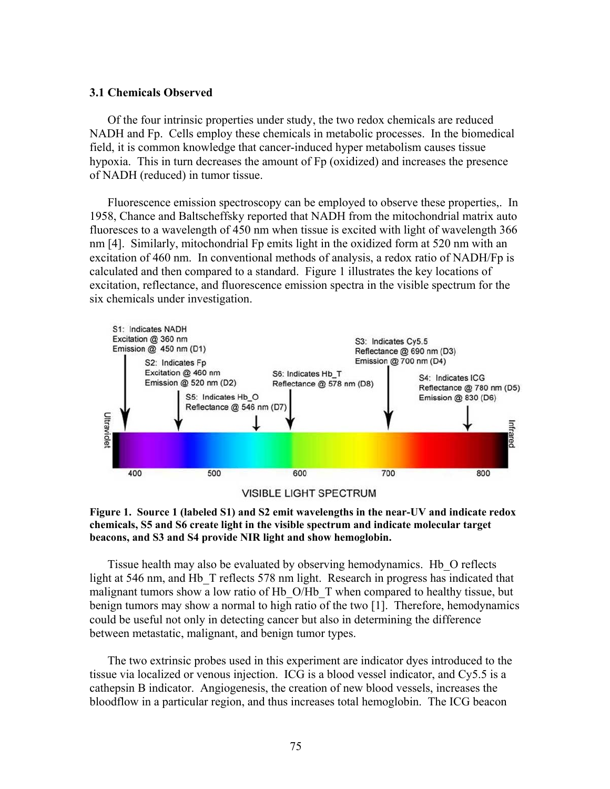### **3.1 Chemicals Observed**

Of the four intrinsic properties under study, the two redox chemicals are reduced NADH and Fp. Cells employ these chemicals in metabolic processes. In the biomedical field, it is common knowledge that cancer-induced hyper metabolism causes tissue hypoxia. This in turn decreases the amount of Fp (oxidized) and increases the presence of NADH (reduced) in tumor tissue.

Fluorescence emission spectroscopy can be employed to observe these properties,. In 1958, Chance and Baltscheffsky reported that NADH from the mitochondrial matrix auto fluoresces to a wavelength of 450 nm when tissue is excited with light of wavelength 366 nm [4]. Similarly, mitochondrial Fp emits light in the oxidized form at 520 nm with an excitation of 460 nm. In conventional methods of analysis, a redox ratio of NADH/Fp is calculated and then compared to a standard. Figure 1 illustrates the key locations of excitation, reflectance, and fluorescence emission spectra in the visible spectrum for the six chemicals under investigation.



**VISIBLE LIGHT SPECTRUM** 



Tissue health may also be evaluated by observing hemodynamics. Hb\_O reflects light at 546 nm, and Hb T reflects 578 nm light. Research in progress has indicated that malignant tumors show a low ratio of Hb\_O/Hb\_T when compared to healthy tissue, but benign tumors may show a normal to high ratio of the two [1]. Therefore, hemodynamics could be useful not only in detecting cancer but also in determining the difference between metastatic, malignant, and benign tumor types.

The two extrinsic probes used in this experiment are indicator dyes introduced to the tissue via localized or venous injection. ICG is a blood vessel indicator, and Cy5.5 is a cathepsin B indicator. Angiogenesis, the creation of new blood vessels, increases the bloodflow in a particular region, and thus increases total hemoglobin. The ICG beacon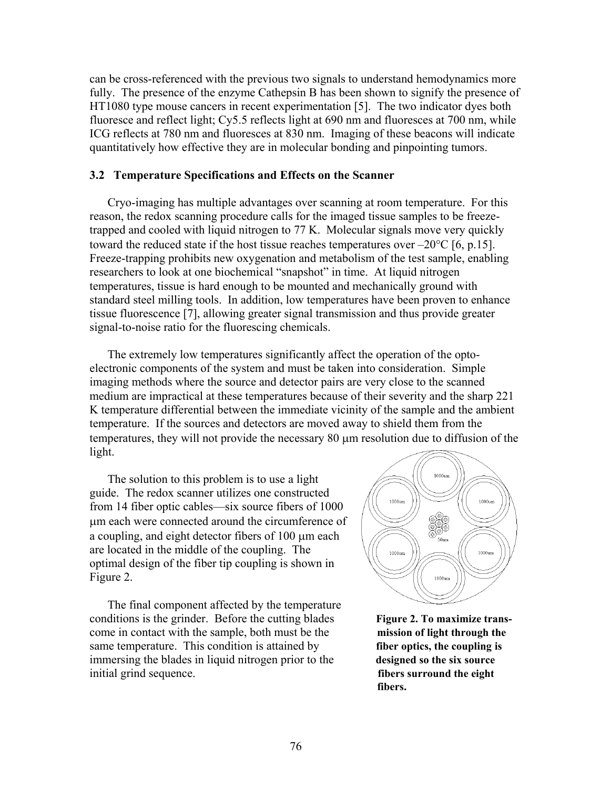can be cross-referenced with the previous two signals to understand hemodynamics more fully. The presence of the enzyme Cathepsin B has been shown to signify the presence of HT1080 type mouse cancers in recent experimentation [5]. The two indicator dyes both fluoresce and reflect light; Cy5.5 reflects light at 690 nm and fluoresces at 700 nm, while ICG reflects at 780 nm and fluoresces at 830 nm. Imaging of these beacons will indicate quantitatively how effective they are in molecular bonding and pinpointing tumors.

# **3.2 Temperature Specifications and Effects on the Scanner**

Cryo-imaging has multiple advantages over scanning at room temperature. For this reason, the redox scanning procedure calls for the imaged tissue samples to be freezetrapped and cooled with liquid nitrogen to 77 K. Molecular signals move very quickly toward the reduced state if the host tissue reaches temperatures over  $-20^{\circ}$ C [6, p.15]. Freeze-trapping prohibits new oxygenation and metabolism of the test sample, enabling researchers to look at one biochemical "snapshot" in time. At liquid nitrogen temperatures, tissue is hard enough to be mounted and mechanically ground with standard steel milling tools. In addition, low temperatures have been proven to enhance tissue fluorescence [7], allowing greater signal transmission and thus provide greater signal-to-noise ratio for the fluorescing chemicals.

The extremely low temperatures significantly affect the operation of the optoelectronic components of the system and must be taken into consideration. Simple imaging methods where the source and detector pairs are very close to the scanned medium are impractical at these temperatures because of their severity and the sharp 221 K temperature differential between the immediate vicinity of the sample and the ambient temperature. If the sources and detectors are moved away to shield them from the temperatures, they will not provide the necessary 80 µm resolution due to diffusion of the light.

The solution to this problem is to use a light guide. The redox scanner utilizes one constructed from 14 fiber optic cables—six source fibers of 1000 µm each were connected around the circumference of a coupling, and eight detector fibers of 100 µm each are located in the middle of the coupling. The optimal design of the fiber tip coupling is shown in Figure 2.

The final component affected by the temperature conditions is the grinder. Before the cutting blades **Figure 2. To maximize trans**come in contact with the sample, both must be the **mission of light through the** same temperature. This condition is attained by **fiber optics, the coupling is** immersing the blades in liquid nitrogen prior to the **designed so the six source** initial grind sequence. **fibers surround the eight**



**fibers.**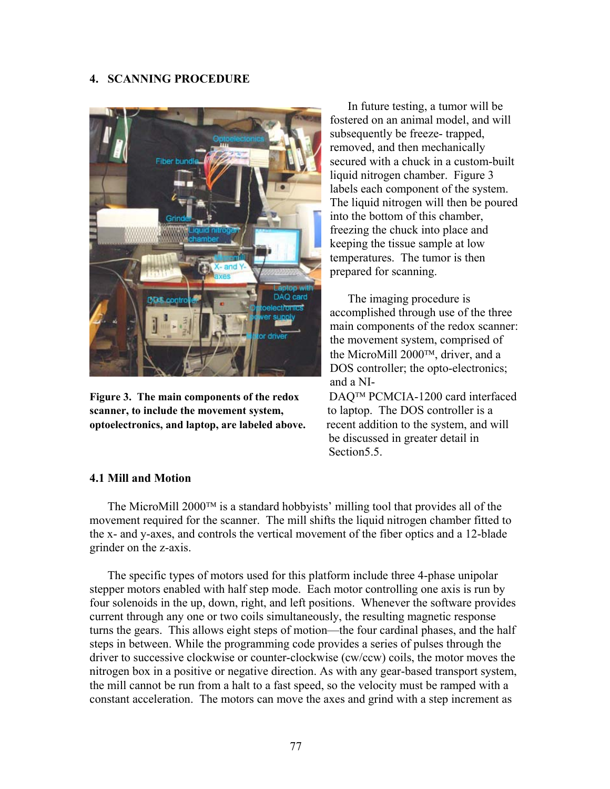# **4. SCANNING PROCEDURE**



Figure 3. The main components of the redox DAO<sup>TM</sup> PCMCIA-1200 card interfaced **scanner, to include the movement system,** to laptop. The DOS controller is a **optoelectronics, and laptop, are labeled above.** recent addition to the system, and will

In future testing, a tumor will be fostered on an animal model, and will subsequently be freeze- trapped, removed, and then mechanically secured with a chuck in a custom-built liquid nitrogen chamber. Figure 3 labels each component of the system. The liquid nitrogen will then be poured into the bottom of this chamber, freezing the chuck into place and keeping the tissue sample at low temperatures. The tumor is then prepared for scanning.

The imaging procedure is accomplished through use of the three main components of the redox scanner: the movement system, comprised of the MicroMill  $2000^{TM}$ , driver, and a DOS controller; the opto-electronics; and a NI-

 be discussed in greater detail in Section<sub>5.5</sub>

# **4.1 Mill and Motion**

The MicroMill  $2000^{TM}$  is a standard hobbyists' milling tool that provides all of the movement required for the scanner. The mill shifts the liquid nitrogen chamber fitted to the x- and y-axes, and controls the vertical movement of the fiber optics and a 12-blade grinder on the z-axis.

The specific types of motors used for this platform include three 4-phase unipolar stepper motors enabled with half step mode. Each motor controlling one axis is run by four solenoids in the up, down, right, and left positions. Whenever the software provides current through any one or two coils simultaneously, the resulting magnetic response turns the gears. This allows eight steps of motion—the four cardinal phases, and the half steps in between. While the programming code provides a series of pulses through the driver to successive clockwise or counter-clockwise (cw/ccw) coils, the motor moves the nitrogen box in a positive or negative direction. As with any gear-based transport system, the mill cannot be run from a halt to a fast speed, so the velocity must be ramped with a constant acceleration. The motors can move the axes and grind with a step increment as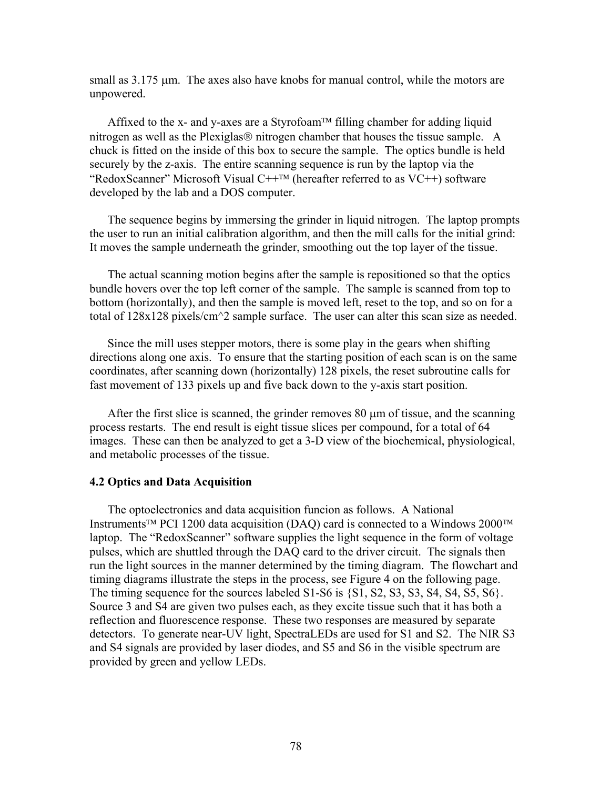small as  $3.175 \mu m$ . The axes also have knobs for manual control, while the motors are unpowered.

Affixed to the x- and y-axes are a Styrofoam<sup> $TM$ </sup> filling chamber for adding liquid nitrogen as well as the Plexiglas $\circledR$  nitrogen chamber that houses the tissue sample. A chuck is fitted on the inside of this box to secure the sample. The optics bundle is held securely by the z-axis. The entire scanning sequence is run by the laptop via the "RedoxScanner" Microsoft Visual  $C$ ++<sup>TM</sup> (hereafter referred to as  $VC$ ++) software developed by the lab and a DOS computer.

The sequence begins by immersing the grinder in liquid nitrogen. The laptop prompts the user to run an initial calibration algorithm, and then the mill calls for the initial grind: It moves the sample underneath the grinder, smoothing out the top layer of the tissue.

The actual scanning motion begins after the sample is repositioned so that the optics bundle hovers over the top left corner of the sample. The sample is scanned from top to bottom (horizontally), and then the sample is moved left, reset to the top, and so on for a total of 128x128 pixels/cm^2 sample surface. The user can alter this scan size as needed.

Since the mill uses stepper motors, there is some play in the gears when shifting directions along one axis. To ensure that the starting position of each scan is on the same coordinates, after scanning down (horizontally) 128 pixels, the reset subroutine calls for fast movement of 133 pixels up and five back down to the y-axis start position.

After the first slice is scanned, the grinder removes 80 µm of tissue, and the scanning process restarts. The end result is eight tissue slices per compound, for a total of 64 images. These can then be analyzed to get a 3-D view of the biochemical, physiological, and metabolic processes of the tissue.

# **4.2 Optics and Data Acquisition**

The optoelectronics and data acquisition funcion as follows. A National Instruments<sup>TM</sup> PCI 1200 data acquisition (DAQ) card is connected to a Windows  $2000^{\text{TM}}$ laptop. The "RedoxScanner" software supplies the light sequence in the form of voltage pulses, which are shuttled through the DAQ card to the driver circuit. The signals then run the light sources in the manner determined by the timing diagram. The flowchart and timing diagrams illustrate the steps in the process, see Figure 4 on the following page. The timing sequence for the sources labeled  $S1-S6$  is  $\{S1, S2, S3, S3, S4, S4, S5, S6\}$ . Source 3 and S4 are given two pulses each, as they excite tissue such that it has both a reflection and fluorescence response. These two responses are measured by separate detectors. To generate near-UV light, SpectraLEDs are used for S1 and S2. The NIR S3 and S4 signals are provided by laser diodes, and S5 and S6 in the visible spectrum are provided by green and yellow LEDs.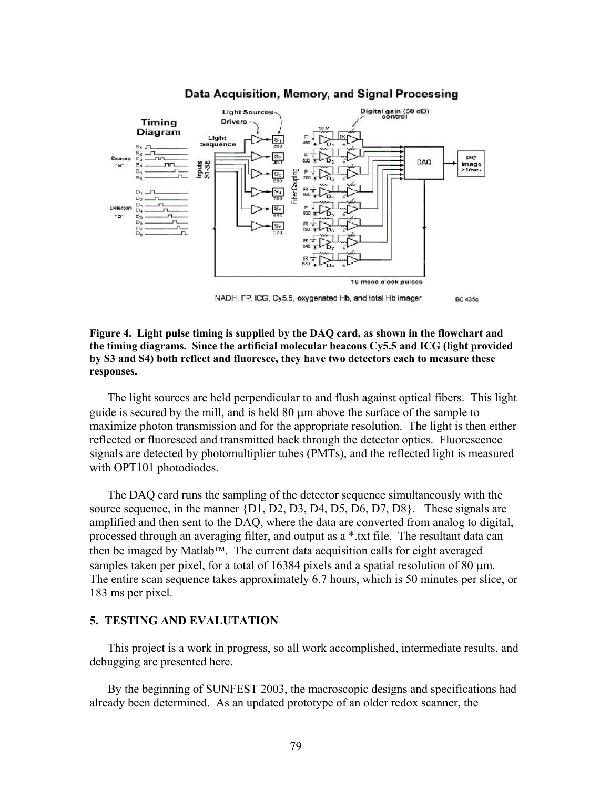

#### Data Acquisition, Memory, and Signal Processing

NADH, FP, ICG, Cy5.5, oxygenated Hb, and total Hb imager BC 435c

#### **Figure 4. Light pulse timing is supplied by the DAQ card, as shown in the flowchart and the timing diagrams. Since the artificial molecular beacons Cy5.5 and ICG (light provided by S3 and S4) both reflect and fluoresce, they have two detectors each to measure these responses.**

The light sources are held perpendicular to and flush against optical fibers. This light guide is secured by the mill, and is held 80 µm above the surface of the sample to maximize photon transmission and for the appropriate resolution. The light is then either reflected or fluoresced and transmitted back through the detector optics. Fluorescence signals are detected by photomultiplier tubes (PMTs), and the reflected light is measured with OPT101 photodiodes.

The DAQ card runs the sampling of the detector sequence simultaneously with the source sequence, in the manner  $\{D1, D2, D3, D4, D5, D6, D7, D8\}$ . These signals are amplified and then sent to the DAQ, where the data are converted from analog to digital, processed through an averaging filter, and output as a \*.txt file. The resultant data can then be imaged by Matlab<sup>TM</sup>. The current data acquisition calls for eight averaged samples taken per pixel, for a total of  $16384$  pixels and a spatial resolution of 80  $\mu$ m. The entire scan sequence takes approximately 6.7 hours, which is 50 minutes per slice, or 183 ms per pixel.

# **5. TESTING AND EVALUTATION**

This project is a work in progress, so all work accomplished, intermediate results, and debugging are presented here.

By the beginning of SUNFEST 2003, the macroscopic designs and specifications had already been determined. As an updated prototype of an older redox scanner, the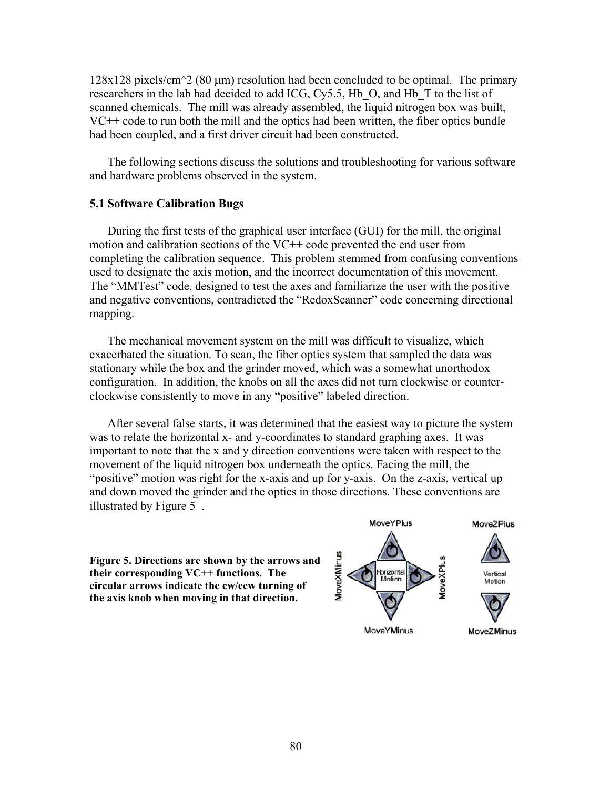$128x128$  pixels/cm<sup> $\sim$ </sup> (80 µm) resolution had been concluded to be optimal. The primary researchers in the lab had decided to add ICG, Cy5.5, Hb\_O, and Hb\_T to the list of scanned chemicals. The mill was already assembled, the liquid nitrogen box was built, VC++ code to run both the mill and the optics had been written, the fiber optics bundle had been coupled, and a first driver circuit had been constructed.

The following sections discuss the solutions and troubleshooting for various software and hardware problems observed in the system.

### **5.1 Software Calibration Bugs**

During the first tests of the graphical user interface (GUI) for the mill, the original motion and calibration sections of the VC++ code prevented the end user from completing the calibration sequence. This problem stemmed from confusing conventions used to designate the axis motion, and the incorrect documentation of this movement. The "MMTest" code, designed to test the axes and familiarize the user with the positive and negative conventions, contradicted the "RedoxScanner" code concerning directional mapping.

The mechanical movement system on the mill was difficult to visualize, which exacerbated the situation. To scan, the fiber optics system that sampled the data was stationary while the box and the grinder moved, which was a somewhat unorthodox configuration. In addition, the knobs on all the axes did not turn clockwise or counterclockwise consistently to move in any "positive" labeled direction.

After several false starts, it was determined that the easiest way to picture the system was to relate the horizontal x- and y-coordinates to standard graphing axes. It was important to note that the x and y direction conventions were taken with respect to the movement of the liquid nitrogen box underneath the optics. Facing the mill, the "positive" motion was right for the x-axis and up for y-axis. On the z-axis, vertical up and down moved the grinder and the optics in those directions. These conventions are illustrated by Figure 5 .

**Figure 5. Directions are shown by the arrows and their corresponding VC++ functions. The circular arrows indicate the cw/ccw turning of the axis knob when moving in that direction.**

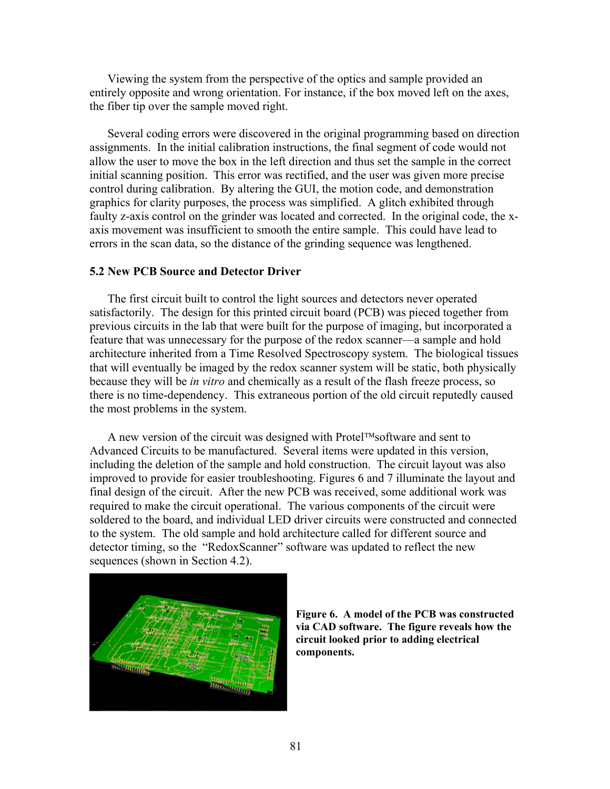Viewing the system from the perspective of the optics and sample provided an entirely opposite and wrong orientation. For instance, if the box moved left on the axes, the fiber tip over the sample moved right.

Several coding errors were discovered in the original programming based on direction assignments. In the initial calibration instructions, the final segment of code would not allow the user to move the box in the left direction and thus set the sample in the correct initial scanning position. This error was rectified, and the user was given more precise control during calibration. By altering the GUI, the motion code, and demonstration graphics for clarity purposes, the process was simplified. A glitch exhibited through faulty z-axis control on the grinder was located and corrected. In the original code, the xaxis movement was insufficient to smooth the entire sample. This could have lead to errors in the scan data, so the distance of the grinding sequence was lengthened.

# **5.2 New PCB Source and Detector Driver**

The first circuit built to control the light sources and detectors never operated satisfactorily. The design for this printed circuit board (PCB) was pieced together from previous circuits in the lab that were built for the purpose of imaging, but incorporated a feature that was unnecessary for the purpose of the redox scanner—a sample and hold architecture inherited from a Time Resolved Spectroscopy system. The biological tissues that will eventually be imaged by the redox scanner system will be static, both physically because they will be *in vitro* and chemically as a result of the flash freeze process, so there is no time-dependency. This extraneous portion of the old circuit reputedly caused the most problems in the system.

A new version of the circuit was designed with Protel<sup>TM</sup>software and sent to Advanced Circuits to be manufactured. Several items were updated in this version, including the deletion of the sample and hold construction. The circuit layout was also improved to provide for easier troubleshooting. Figures 6 and 7 illuminate the layout and final design of the circuit. After the new PCB was received, some additional work was required to make the circuit operational. The various components of the circuit were soldered to the board, and individual LED driver circuits were constructed and connected to the system. The old sample and hold architecture called for different source and detector timing, so the "RedoxScanner" software was updated to reflect the new sequences (shown in Section 4.2).



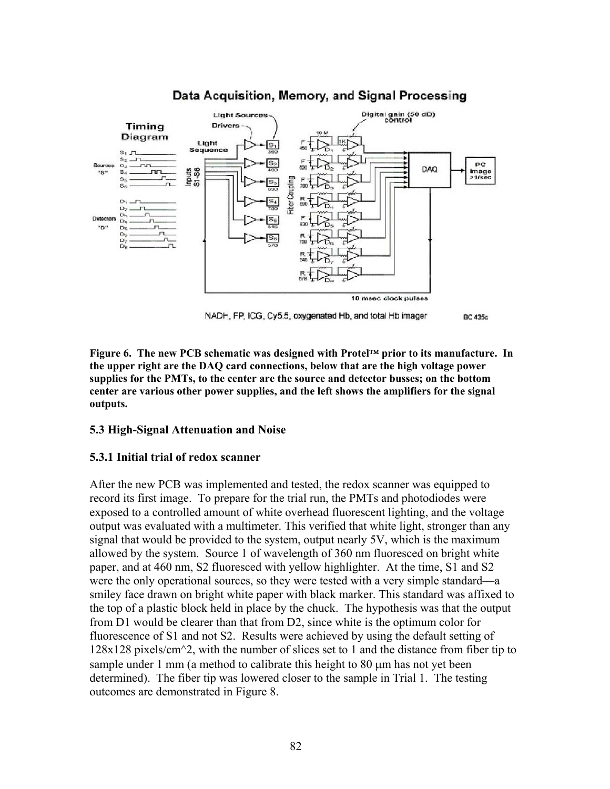

# Data Acquisition, Memory, and Signal Processing

NADH, FP, ICG, Cy5.5, oxygenated Hb, and total Hb imager BC 435c

Figure 6. The new PCB schematic was designed with Protel<sup>™</sup> prior to its manufacture. In **the upper right are the DAQ card connections, below that are the high voltage power supplies for the PMTs, to the center are the source and detector busses; on the bottom center are various other power supplies, and the left shows the amplifiers for the signal outputs.** 

# **5.3 High-Signal Attenuation and Noise**

# **5.3.1 Initial trial of redox scanner**

After the new PCB was implemented and tested, the redox scanner was equipped to record its first image. To prepare for the trial run, the PMTs and photodiodes were exposed to a controlled amount of white overhead fluorescent lighting, and the voltage output was evaluated with a multimeter. This verified that white light, stronger than any signal that would be provided to the system, output nearly 5V, which is the maximum allowed by the system. Source 1 of wavelength of 360 nm fluoresced on bright white paper, and at 460 nm, S2 fluoresced with yellow highlighter. At the time, S1 and S2 were the only operational sources, so they were tested with a very simple standard—a smiley face drawn on bright white paper with black marker. This standard was affixed to the top of a plastic block held in place by the chuck. The hypothesis was that the output from D1 would be clearer than that from D2, since white is the optimum color for fluorescence of S1 and not S2. Results were achieved by using the default setting of  $128x128$  pixels/cm<sup> $\sim$ </sup>2, with the number of slices set to 1 and the distance from fiber tip to sample under 1 mm (a method to calibrate this height to 80 µm has not yet been determined). The fiber tip was lowered closer to the sample in Trial 1. The testing outcomes are demonstrated in Figure 8.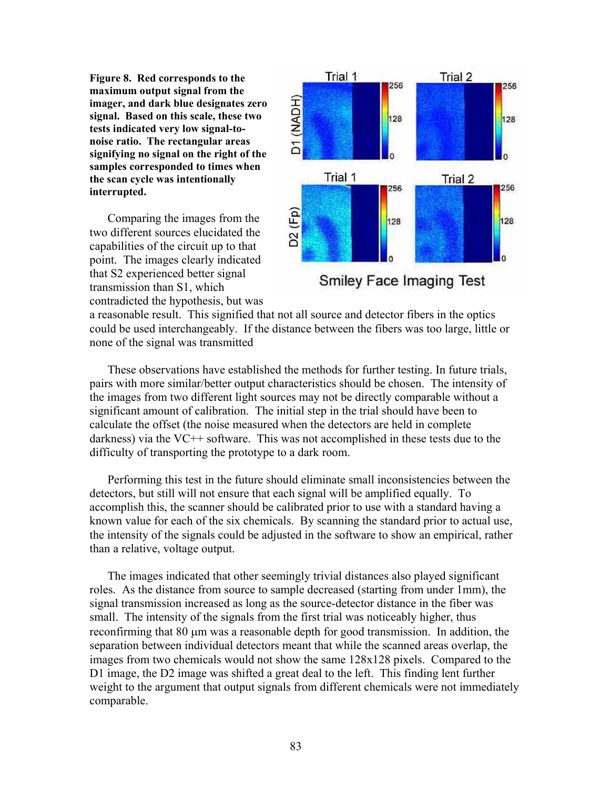**Figure 8. Red corresponds to the maximum output signal from the imager, and dark blue designates zero signal. Based on this scale, these two tests indicated very low signal-tonoise ratio. The rectangular areas signifying no signal on the right of the samples corresponded to times when the scan cycle was intentionally interrupted.** 

Comparing the images from the two different sources elucidated the capabilities of the circuit up to that point. The images clearly indicated that S2 experienced better signal transmission than S1, which contradicted the hypothesis, but was



Smiley Face Imaging Test

a reasonable result. This signified that not all source and detector fibers in the optics could be used interchangeably. If the distance between the fibers was too large, little or none of the signal was transmitted

These observations have established the methods for further testing. In future trials, pairs with more similar/better output characteristics should be chosen. The intensity of the images from two different light sources may not be directly comparable without a significant amount of calibration. The initial step in the trial should have been to calculate the offset (the noise measured when the detectors are held in complete darkness) via the VC++ software. This was not accomplished in these tests due to the difficulty of transporting the prototype to a dark room.

Performing this test in the future should eliminate small inconsistencies between the detectors, but still will not ensure that each signal will be amplified equally. To accomplish this, the scanner should be calibrated prior to use with a standard having a known value for each of the six chemicals. By scanning the standard prior to actual use, the intensity of the signals could be adjusted in the software to show an empirical, rather than a relative, voltage output.

The images indicated that other seemingly trivial distances also played significant roles. As the distance from source to sample decreased (starting from under 1mm), the signal transmission increased as long as the source-detector distance in the fiber was small. The intensity of the signals from the first trial was noticeably higher, thus reconfirming that 80 µm was a reasonable depth for good transmission. In addition, the separation between individual detectors meant that while the scanned areas overlap, the images from two chemicals would not show the same 128x128 pixels. Compared to the D1 image, the D2 image was shifted a great deal to the left. This finding lent further weight to the argument that output signals from different chemicals were not immediately comparable.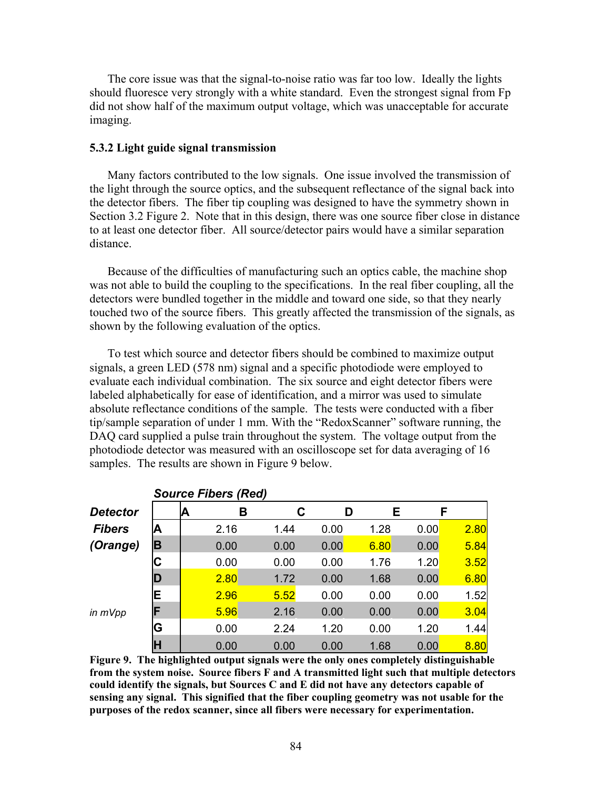The core issue was that the signal-to-noise ratio was far too low. Ideally the lights should fluoresce very strongly with a white standard. Even the strongest signal from Fp did not show half of the maximum output voltage, which was unacceptable for accurate imaging.

# **5.3.2 Light guide signal transmission**

Many factors contributed to the low signals. One issue involved the transmission of the light through the source optics, and the subsequent reflectance of the signal back into the detector fibers. The fiber tip coupling was designed to have the symmetry shown in Section 3.2 Figure 2. Note that in this design, there was one source fiber close in distance to at least one detector fiber. All source/detector pairs would have a similar separation distance.

Because of the difficulties of manufacturing such an optics cable, the machine shop was not able to build the coupling to the specifications. In the real fiber coupling, all the detectors were bundled together in the middle and toward one side, so that they nearly touched two of the source fibers. This greatly affected the transmission of the signals, as shown by the following evaluation of the optics.

To test which source and detector fibers should be combined to maximize output signals, a green LED (578 nm) signal and a specific photodiode were employed to evaluate each individual combination. The six source and eight detector fibers were labeled alphabetically for ease of identification, and a mirror was used to simulate absolute reflectance conditions of the sample. The tests were conducted with a fiber tip/sample separation of under 1 mm. With the "RedoxScanner" software running, the DAQ card supplied a pulse train throughout the system. The voltage output from the photodiode detector was measured with an oscilloscope set for data averaging of 16 samples. The results are shown in Figure 9 below.

|                 | Source Fibers (Rea) |    |      |      |      |      |      |      |  |
|-----------------|---------------------|----|------|------|------|------|------|------|--|
| <b>Detector</b> |                     | ΙA | В    | C    | D    | E.   | F    |      |  |
| <b>Fibers</b>   | A                   |    | 2.16 | 1.44 | 0.00 | 1.28 | 0.00 | 2.80 |  |
| (Orange)        | B                   |    | 0.00 | 0.00 | 0.00 | 6.80 | 0.00 | 5.84 |  |
|                 | С                   |    | 0.00 | 0.00 | 0.00 | 1.76 | 1.20 | 3.52 |  |
|                 | D                   |    | 2.80 | 1.72 | 0.00 | 1.68 | 0.00 | 6.80 |  |
|                 | E                   |    | 2.96 | 5.52 | 0.00 | 0.00 | 0.00 | 1.52 |  |
| in mVpp         | F                   |    | 5.96 | 2.16 | 0.00 | 0.00 | 0.00 | 3.04 |  |
|                 | G                   |    | 0.00 | 2.24 | 1.20 | 0.00 | 1.20 | 1.44 |  |
|                 | H                   |    | 0.00 | 0.00 | 0.00 | 1.68 | 0.00 | 8.80 |  |

*Source Fibers (Red)* 

**Figure 9. The highlighted output signals were the only ones completely distinguishable from the system noise. Source fibers F and A transmitted light such that multiple detectors could identify the signals, but Sources C and E did not have any detectors capable of sensing any signal. This signified that the fiber coupling geometry was not usable for the purposes of the redox scanner, since all fibers were necessary for experimentation.**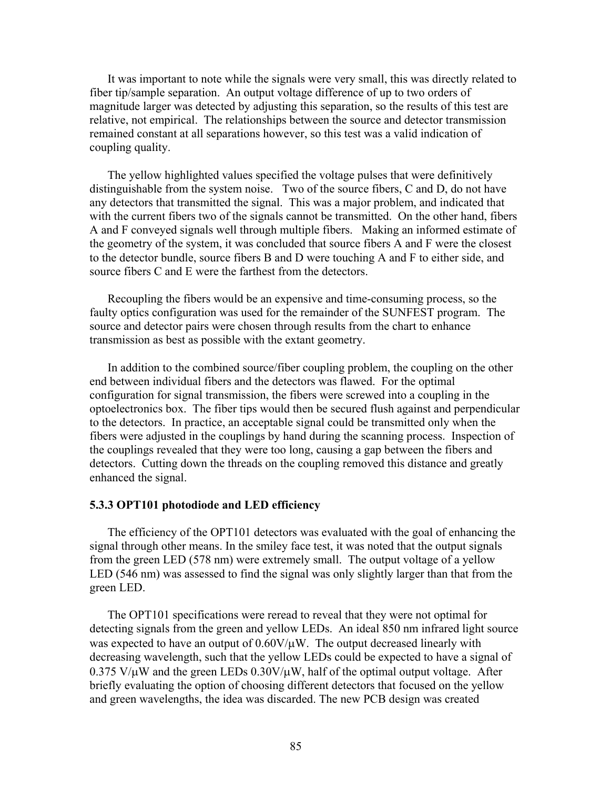It was important to note while the signals were very small, this was directly related to fiber tip/sample separation. An output voltage difference of up to two orders of magnitude larger was detected by adjusting this separation, so the results of this test are relative, not empirical. The relationships between the source and detector transmission remained constant at all separations however, so this test was a valid indication of coupling quality.

The yellow highlighted values specified the voltage pulses that were definitively distinguishable from the system noise. Two of the source fibers, C and D, do not have any detectors that transmitted the signal. This was a major problem, and indicated that with the current fibers two of the signals cannot be transmitted. On the other hand, fibers A and F conveyed signals well through multiple fibers. Making an informed estimate of the geometry of the system, it was concluded that source fibers A and F were the closest to the detector bundle, source fibers B and D were touching A and F to either side, and source fibers C and E were the farthest from the detectors.

Recoupling the fibers would be an expensive and time-consuming process, so the faulty optics configuration was used for the remainder of the SUNFEST program. The source and detector pairs were chosen through results from the chart to enhance transmission as best as possible with the extant geometry.

In addition to the combined source/fiber coupling problem, the coupling on the other end between individual fibers and the detectors was flawed. For the optimal configuration for signal transmission, the fibers were screwed into a coupling in the optoelectronics box. The fiber tips would then be secured flush against and perpendicular to the detectors. In practice, an acceptable signal could be transmitted only when the fibers were adjusted in the couplings by hand during the scanning process. Inspection of the couplings revealed that they were too long, causing a gap between the fibers and detectors. Cutting down the threads on the coupling removed this distance and greatly enhanced the signal.

#### **5.3.3 OPT101 photodiode and LED efficiency**

The efficiency of the OPT101 detectors was evaluated with the goal of enhancing the signal through other means. In the smiley face test, it was noted that the output signals from the green LED (578 nm) were extremely small. The output voltage of a yellow LED (546 nm) was assessed to find the signal was only slightly larger than that from the green LED.

The OPT101 specifications were reread to reveal that they were not optimal for detecting signals from the green and yellow LEDs. An ideal 850 nm infrared light source was expected to have an output of  $0.60V/\mu$ W. The output decreased linearly with decreasing wavelength, such that the yellow LEDs could be expected to have a signal of  $0.375$  V/ $\mu$ W and the green LEDs  $0.30$ V/ $\mu$ W, half of the optimal output voltage. After briefly evaluating the option of choosing different detectors that focused on the yellow and green wavelengths, the idea was discarded. The new PCB design was created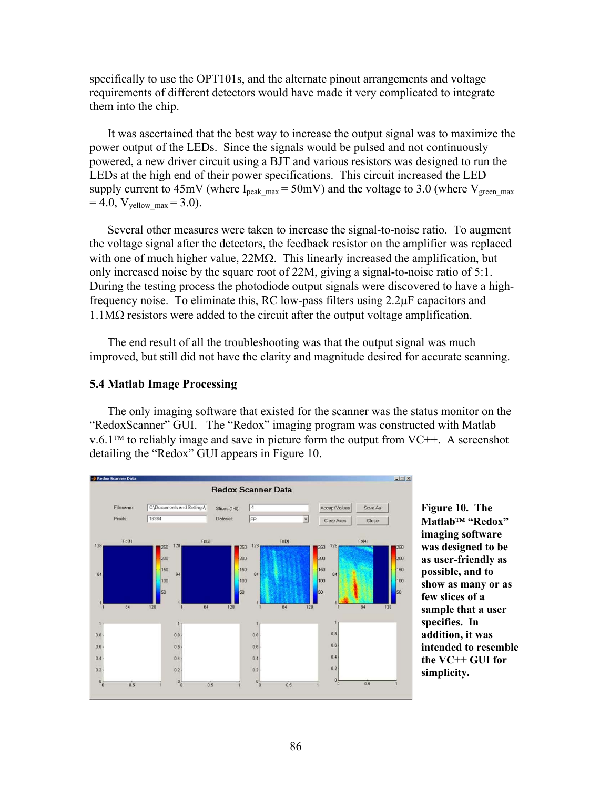specifically to use the OPT101s, and the alternate pinout arrangements and voltage requirements of different detectors would have made it very complicated to integrate them into the chip.

It was ascertained that the best way to increase the output signal was to maximize the power output of the LEDs. Since the signals would be pulsed and not continuously powered, a new driver circuit using a BJT and various resistors was designed to run the LEDs at the high end of their power specifications. This circuit increased the LED supply current to  $45mV$  (where I<sub>peak max</sub> = 50mV) and the voltage to 3.0 (where V<sub>green max</sub>  $= 4.0, V_{\text{yellow max}} = 3.0$ .

Several other measures were taken to increase the signal-to-noise ratio. To augment the voltage signal after the detectors, the feedback resistor on the amplifier was replaced with one of much higher value,  $22M\Omega$ . This linearly increased the amplification, but only increased noise by the square root of 22M, giving a signal-to-noise ratio of 5:1. During the testing process the photodiode output signals were discovered to have a highfrequency noise. To eliminate this, RC low-pass filters using 2.2µF capacitors and  $1.1\text{M}\Omega$  resistors were added to the circuit after the output voltage amplification.

The end result of all the troubleshooting was that the output signal was much improved, but still did not have the clarity and magnitude desired for accurate scanning.

# **5.4 Matlab Image Processing**

The only imaging software that existed for the scanner was the status monitor on the "RedoxScanner" GUI. The "Redox" imaging program was constructed with Matlab  $v.6.1<sup>TM</sup>$  to reliably image and save in picture form the output from VC++. A screenshot detailing the "Redox" GUI appears in Figure 10.



**Figure 10. The Matlab "Redox" imaging software was designed to be as user-friendly as possible, and to show as many or as few slices of a sample that a user specifies. In addition, it was intended to resemble the VC++ GUI for simplicity.**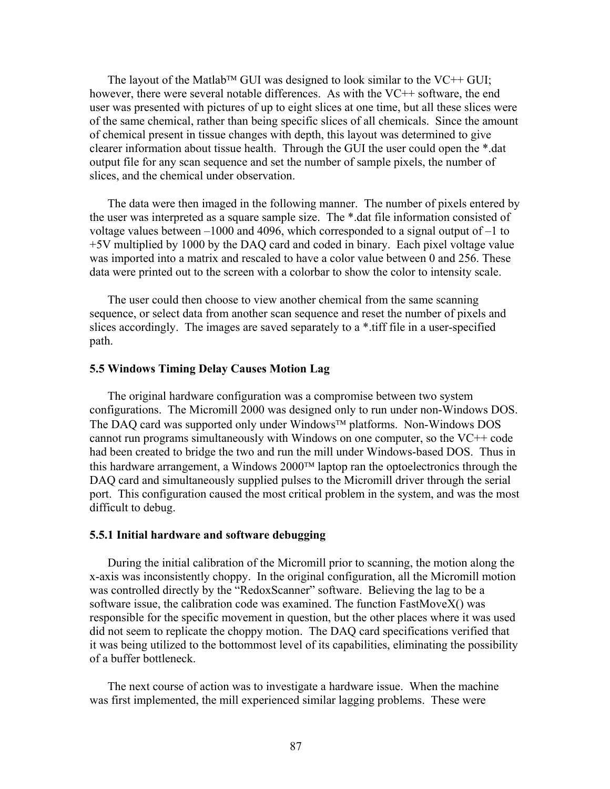The layout of the Matlab<sup>TM</sup> GUI was designed to look similar to the VC++ GUI; however, there were several notable differences. As with the VC++ software, the end user was presented with pictures of up to eight slices at one time, but all these slices were of the same chemical, rather than being specific slices of all chemicals. Since the amount of chemical present in tissue changes with depth, this layout was determined to give clearer information about tissue health. Through the GUI the user could open the \*.dat output file for any scan sequence and set the number of sample pixels, the number of slices, and the chemical under observation.

The data were then imaged in the following manner. The number of pixels entered by the user was interpreted as a square sample size. The \*.dat file information consisted of voltage values between –1000 and 4096, which corresponded to a signal output of –1 to +5V multiplied by 1000 by the DAQ card and coded in binary. Each pixel voltage value was imported into a matrix and rescaled to have a color value between 0 and 256. These data were printed out to the screen with a colorbar to show the color to intensity scale.

The user could then choose to view another chemical from the same scanning sequence, or select data from another scan sequence and reset the number of pixels and slices accordingly. The images are saved separately to a \*.tiff file in a user-specified path.

#### **5.5 Windows Timing Delay Causes Motion Lag**

The original hardware configuration was a compromise between two system configurations. The Micromill 2000 was designed only to run under non-Windows DOS. The DAQ card was supported only under Windows<sup> $TM$ </sup> platforms. Non-Windows DOS cannot run programs simultaneously with Windows on one computer, so the VC++ code had been created to bridge the two and run the mill under Windows-based DOS. Thus in this hardware arrangement, a Windows  $2000<sup>TM</sup>$  laptop ran the optoelectronics through the DAQ card and simultaneously supplied pulses to the Micromill driver through the serial port. This configuration caused the most critical problem in the system, and was the most difficult to debug.

#### **5.5.1 Initial hardware and software debugging**

During the initial calibration of the Micromill prior to scanning, the motion along the x-axis was inconsistently choppy. In the original configuration, all the Micromill motion was controlled directly by the "RedoxScanner" software. Believing the lag to be a software issue, the calibration code was examined. The function FastMoveX() was responsible for the specific movement in question, but the other places where it was used did not seem to replicate the choppy motion. The DAQ card specifications verified that it was being utilized to the bottommost level of its capabilities, eliminating the possibility of a buffer bottleneck.

The next course of action was to investigate a hardware issue. When the machine was first implemented, the mill experienced similar lagging problems. These were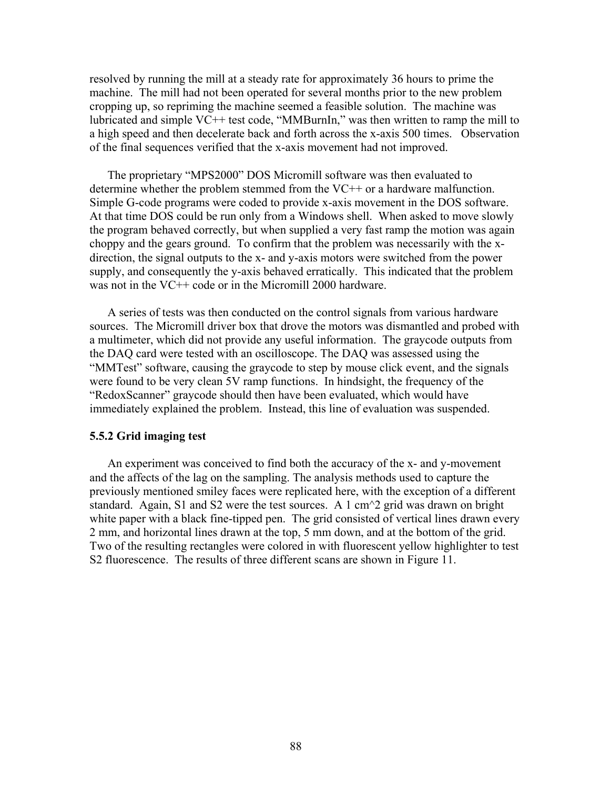resolved by running the mill at a steady rate for approximately 36 hours to prime the machine. The mill had not been operated for several months prior to the new problem cropping up, so repriming the machine seemed a feasible solution. The machine was lubricated and simple VC++ test code, "MMBurnIn," was then written to ramp the mill to a high speed and then decelerate back and forth across the x-axis 500 times. Observation of the final sequences verified that the x-axis movement had not improved.

The proprietary "MPS2000" DOS Micromill software was then evaluated to determine whether the problem stemmed from the VC++ or a hardware malfunction. Simple G-code programs were coded to provide x-axis movement in the DOS software. At that time DOS could be run only from a Windows shell. When asked to move slowly the program behaved correctly, but when supplied a very fast ramp the motion was again choppy and the gears ground. To confirm that the problem was necessarily with the xdirection, the signal outputs to the x- and y-axis motors were switched from the power supply, and consequently the y-axis behaved erratically. This indicated that the problem was not in the VC++ code or in the Micromill 2000 hardware.

A series of tests was then conducted on the control signals from various hardware sources. The Micromill driver box that drove the motors was dismantled and probed with a multimeter, which did not provide any useful information. The graycode outputs from the DAQ card were tested with an oscilloscope. The DAQ was assessed using the "MMTest" software, causing the graycode to step by mouse click event, and the signals were found to be very clean 5V ramp functions. In hindsight, the frequency of the "RedoxScanner" graycode should then have been evaluated, which would have immediately explained the problem. Instead, this line of evaluation was suspended.

# **5.5.2 Grid imaging test**

An experiment was conceived to find both the accuracy of the x- and y-movement and the affects of the lag on the sampling. The analysis methods used to capture the previously mentioned smiley faces were replicated here, with the exception of a different standard. Again, S1 and S2 were the test sources. A 1 cm<sup> $\sim$ </sup>2 grid was drawn on bright white paper with a black fine-tipped pen. The grid consisted of vertical lines drawn every 2 mm, and horizontal lines drawn at the top, 5 mm down, and at the bottom of the grid. Two of the resulting rectangles were colored in with fluorescent yellow highlighter to test S2 fluorescence. The results of three different scans are shown in Figure 11.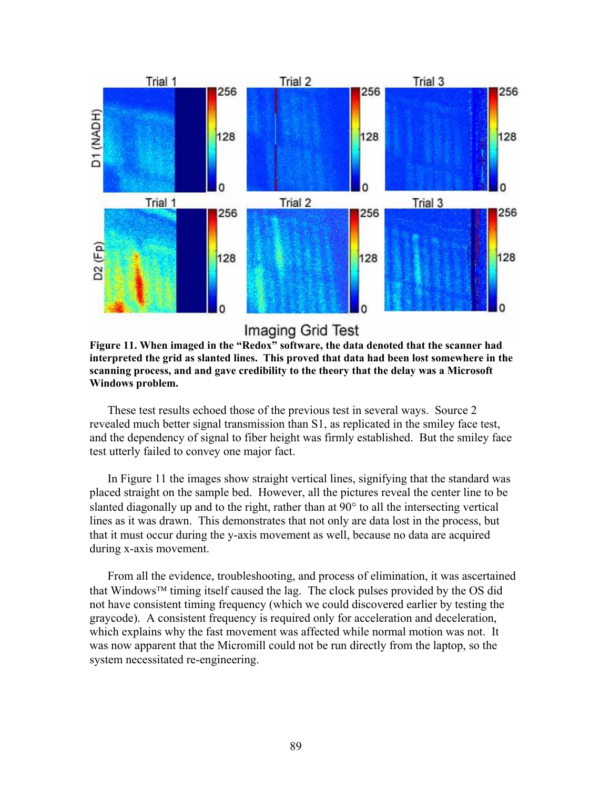

**Imaging Grid Test** 

**Figure 11. When imaged in the "Redox" software, the data denoted that the scanner had interpreted the grid as slanted lines. This proved that data had been lost somewhere in the scanning process, and and gave credibility to the theory that the delay was a Microsoft Windows problem.**

These test results echoed those of the previous test in several ways. Source 2 revealed much better signal transmission than S1, as replicated in the smiley face test, and the dependency of signal to fiber height was firmly established. But the smiley face test utterly failed to convey one major fact.

In Figure 11 the images show straight vertical lines, signifying that the standard was placed straight on the sample bed. However, all the pictures reveal the center line to be slanted diagonally up and to the right, rather than at 90° to all the intersecting vertical lines as it was drawn. This demonstrates that not only are data lost in the process, but that it must occur during the y-axis movement as well, because no data are acquired during x-axis movement.

From all the evidence, troubleshooting, and process of elimination, it was ascertained that Windows<sup>TM</sup> timing itself caused the lag. The clock pulses provided by the OS did not have consistent timing frequency (which we could discovered earlier by testing the graycode). A consistent frequency is required only for acceleration and deceleration, which explains why the fast movement was affected while normal motion was not. It was now apparent that the Micromill could not be run directly from the laptop, so the system necessitated re-engineering.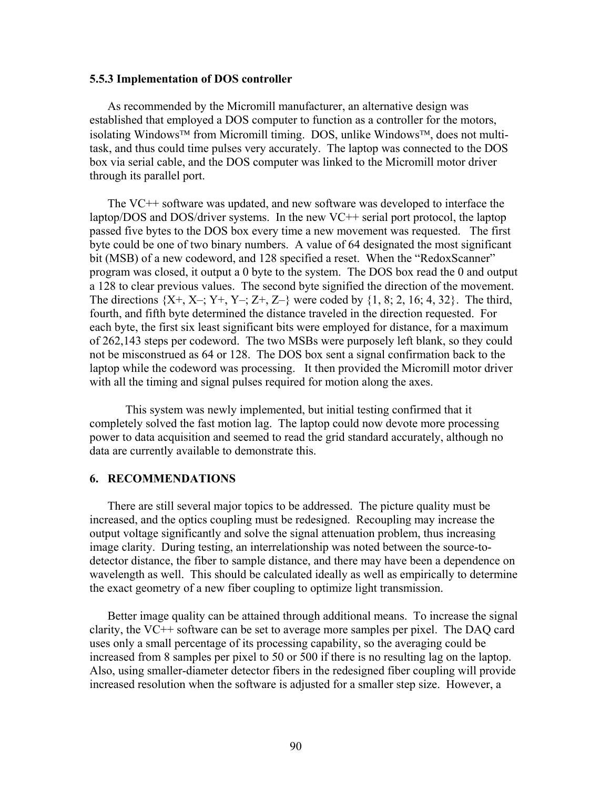#### **5.5.3 Implementation of DOS controller**

As recommended by the Micromill manufacturer, an alternative design was established that employed a DOS computer to function as a controller for the motors, isolating Windows<sup>TM</sup> from Micromill timing. DOS, unlike Windows<sup>TM</sup>, does not multitask, and thus could time pulses very accurately. The laptop was connected to the DOS box via serial cable, and the DOS computer was linked to the Micromill motor driver through its parallel port.

The VC++ software was updated, and new software was developed to interface the laptop/DOS and DOS/driver systems. In the new VC++ serial port protocol, the laptop passed five bytes to the DOS box every time a new movement was requested. The first byte could be one of two binary numbers. A value of 64 designated the most significant bit (MSB) of a new codeword, and 128 specified a reset. When the "RedoxScanner" program was closed, it output a 0 byte to the system. The DOS box read the 0 and output a 128 to clear previous values. The second byte signified the direction of the movement. The directions  $\{X^+, X^-, Y^+, Y^-, Z^+, Z^-\}$  were coded by  $\{1, 8, 2, 16, 4, 32\}$ . The third, fourth, and fifth byte determined the distance traveled in the direction requested. For each byte, the first six least significant bits were employed for distance, for a maximum of 262,143 steps per codeword. The two MSBs were purposely left blank, so they could not be misconstrued as 64 or 128. The DOS box sent a signal confirmation back to the laptop while the codeword was processing. It then provided the Micromill motor driver with all the timing and signal pulses required for motion along the axes.

 This system was newly implemented, but initial testing confirmed that it completely solved the fast motion lag. The laptop could now devote more processing power to data acquisition and seemed to read the grid standard accurately, although no data are currently available to demonstrate this.

#### **6. RECOMMENDATIONS**

There are still several major topics to be addressed. The picture quality must be increased, and the optics coupling must be redesigned. Recoupling may increase the output voltage significantly and solve the signal attenuation problem, thus increasing image clarity. During testing, an interrelationship was noted between the source-todetector distance, the fiber to sample distance, and there may have been a dependence on wavelength as well. This should be calculated ideally as well as empirically to determine the exact geometry of a new fiber coupling to optimize light transmission.

Better image quality can be attained through additional means. To increase the signal clarity, the VC++ software can be set to average more samples per pixel. The DAQ card uses only a small percentage of its processing capability, so the averaging could be increased from 8 samples per pixel to 50 or 500 if there is no resulting lag on the laptop. Also, using smaller-diameter detector fibers in the redesigned fiber coupling will provide increased resolution when the software is adjusted for a smaller step size. However, a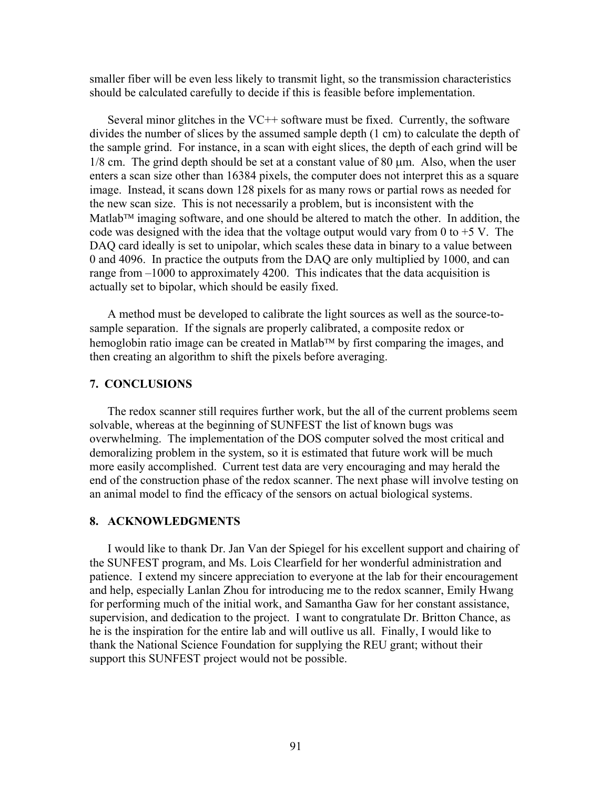smaller fiber will be even less likely to transmit light, so the transmission characteristics should be calculated carefully to decide if this is feasible before implementation.

Several minor glitches in the VC++ software must be fixed. Currently, the software divides the number of slices by the assumed sample depth (1 cm) to calculate the depth of the sample grind. For instance, in a scan with eight slices, the depth of each grind will be  $1/8$  cm. The grind depth should be set at a constant value of  $80 \mu m$ . Also, when the user enters a scan size other than 16384 pixels, the computer does not interpret this as a square image. Instead, it scans down 128 pixels for as many rows or partial rows as needed for the new scan size. This is not necessarily a problem, but is inconsistent with the Matlab<sup>TM</sup> imaging software, and one should be altered to match the other. In addition, the code was designed with the idea that the voltage output would vary from 0 to  $+5$  V. The DAQ card ideally is set to unipolar, which scales these data in binary to a value between 0 and 4096. In practice the outputs from the DAQ are only multiplied by 1000, and can range from –1000 to approximately 4200. This indicates that the data acquisition is actually set to bipolar, which should be easily fixed.

A method must be developed to calibrate the light sources as well as the source-tosample separation. If the signals are properly calibrated, a composite redox or hemoglobin ratio image can be created in Matlab<sup>TM</sup> by first comparing the images, and then creating an algorithm to shift the pixels before averaging.

# **7. CONCLUSIONS**

The redox scanner still requires further work, but the all of the current problems seem solvable, whereas at the beginning of SUNFEST the list of known bugs was overwhelming. The implementation of the DOS computer solved the most critical and demoralizing problem in the system, so it is estimated that future work will be much more easily accomplished. Current test data are very encouraging and may herald the end of the construction phase of the redox scanner. The next phase will involve testing on an animal model to find the efficacy of the sensors on actual biological systems.

## **8. ACKNOWLEDGMENTS**

I would like to thank Dr. Jan Van der Spiegel for his excellent support and chairing of the SUNFEST program, and Ms. Lois Clearfield for her wonderful administration and patience. I extend my sincere appreciation to everyone at the lab for their encouragement and help, especially Lanlan Zhou for introducing me to the redox scanner, Emily Hwang for performing much of the initial work, and Samantha Gaw for her constant assistance, supervision, and dedication to the project. I want to congratulate Dr. Britton Chance, as he is the inspiration for the entire lab and will outlive us all. Finally, I would like to thank the National Science Foundation for supplying the REU grant; without their support this SUNFEST project would not be possible.